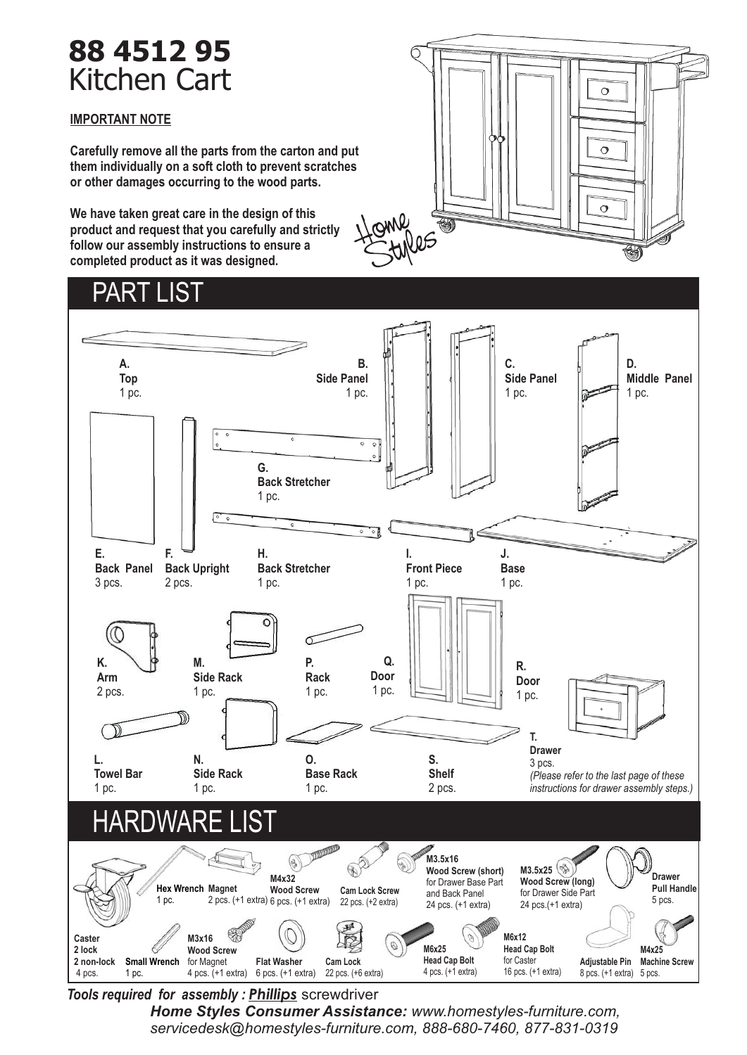# **88 4512 95** Kitchen Cart

#### **IMPORTANT NOTE**

**Carefully remove all the parts from the carton and put them individually on a soft cloth to prevent scratches or other damages occurring to the wood parts.**

**We have taken great care in the design of this product and request that you carefully and strictly follow our assembly instructions to ensure a completed product as it was designed.**



### PART LIST



*Tools required for assembly : Phillips* screwdriver *Home Styles Consumer Assistance: www.homestyles-furniture.com, servicedesk@homestyles-furniture.com, 888-680-7460, 877-831-0319*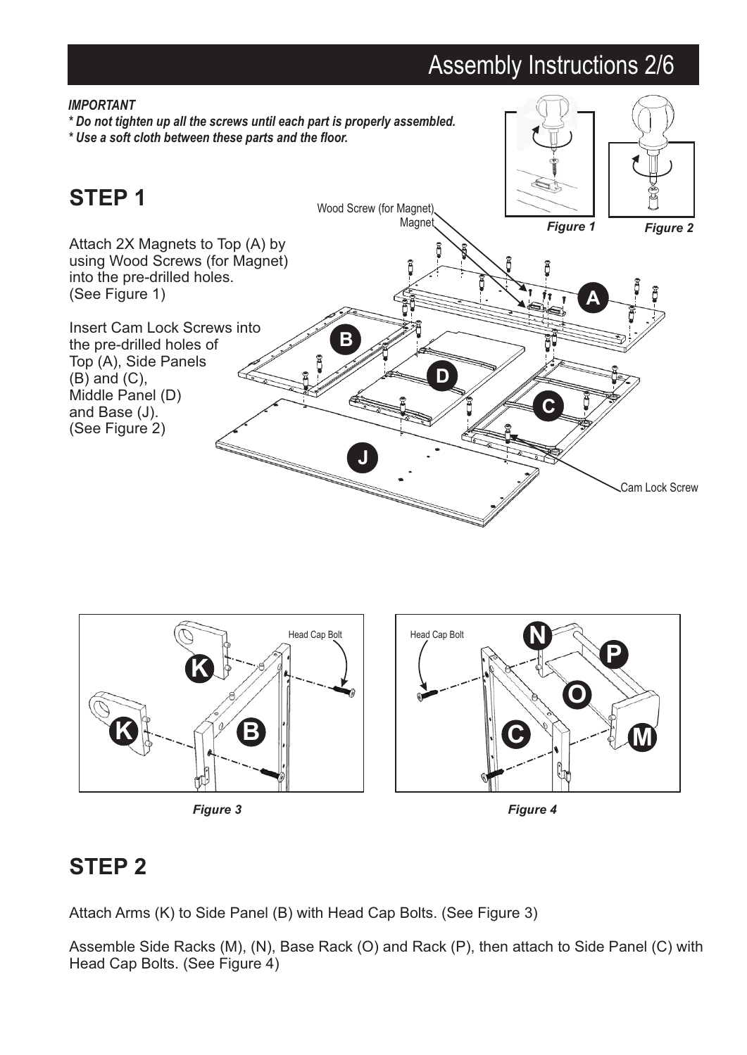### Assembly Instructions 2/6





### **STEP 2**

Attach Arms (K) to Side Panel (B) with Head Cap Bolts. (See Figure 3)

Assemble Side Racks (M), (N), Base Rack (O) and Rack (P), then attach to Side Panel (C) with Head Cap Bolts. (See Figure 4)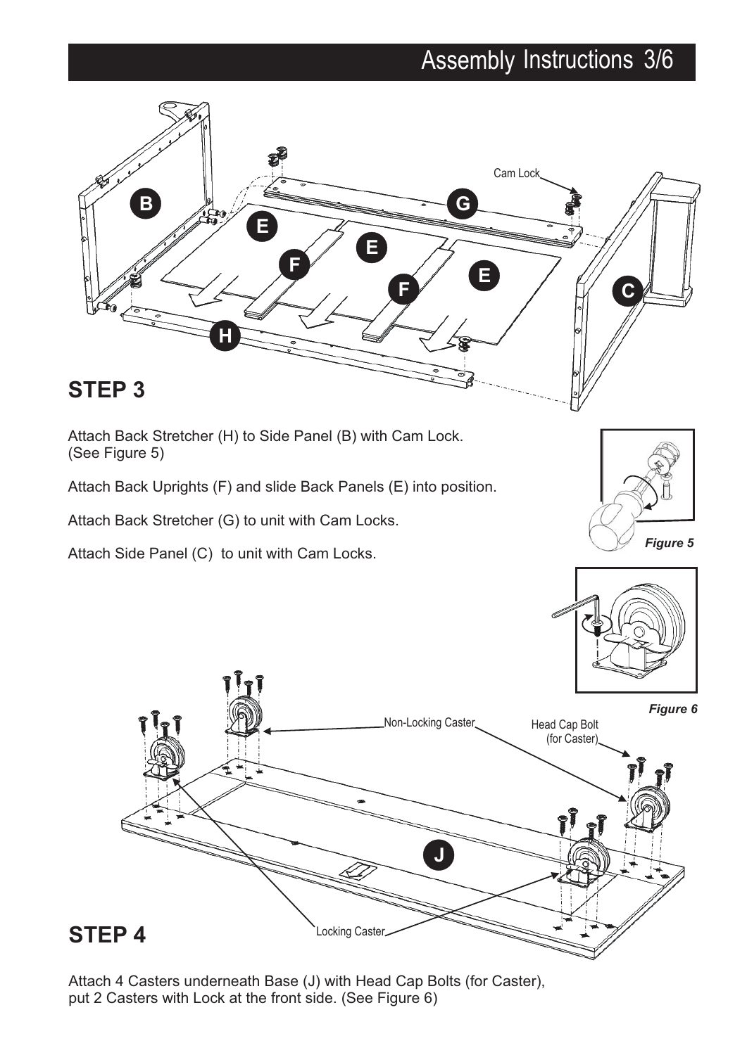### Assembly Instructions 3/6



Attach 4 Casters underneath Base (J) with Head Cap Bolts (for Caster), put 2 Casters with Lock at the front side. (See Figure 6)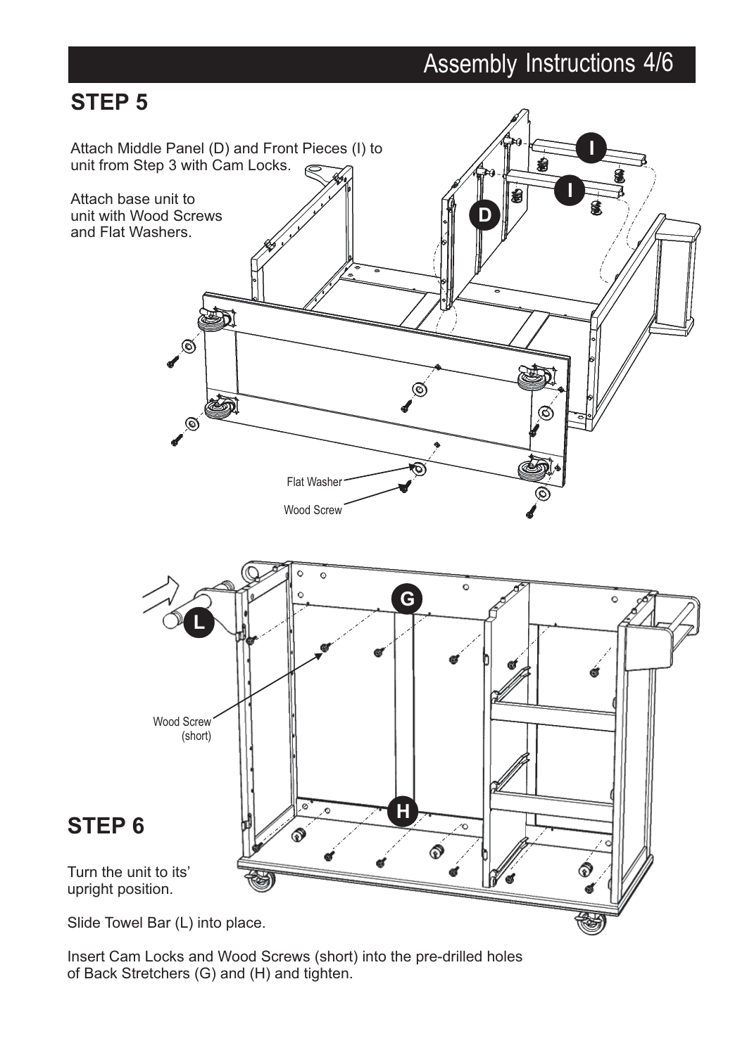### Assembly Instructions 4/6



Slide Towel Bar (L) into place.

Insert Cam Locks and Wood Screws (short) into the pre-drilled holes of Back Stretchers (G) and (H) and tighten.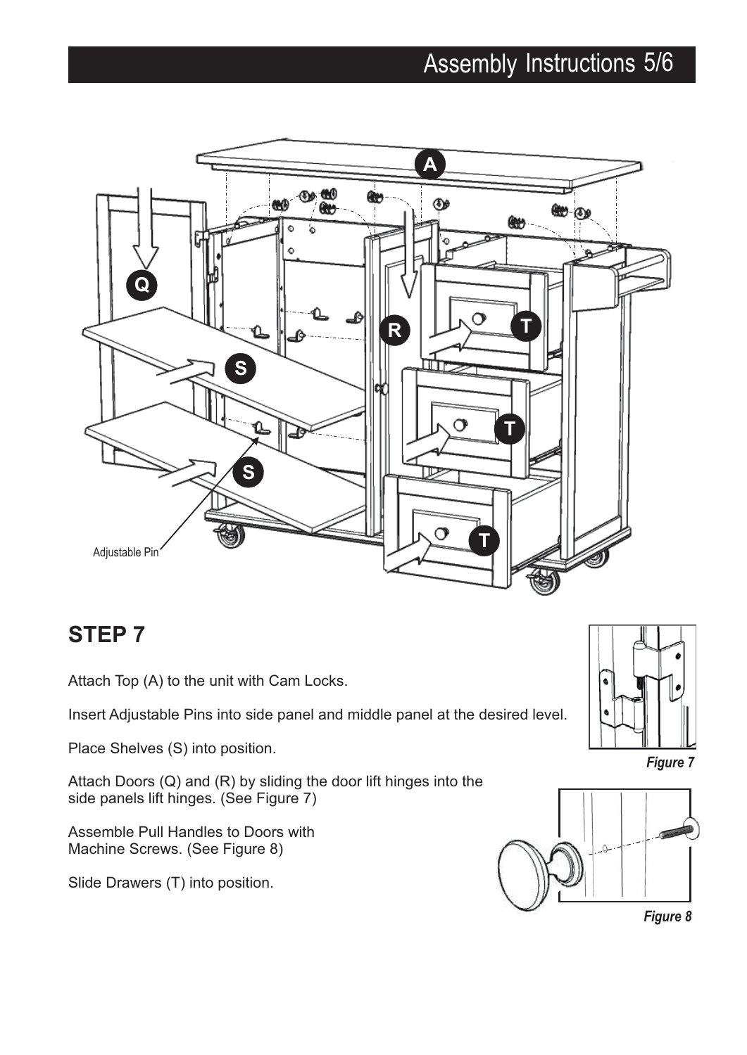# Assembly Instructions 5/6



### **STEP 7**

Attach Top (A) to the unit with Cam Locks.

Insert Adjustable Pins into side panel and middle panel at the desired level.

Place Shelves (S) into position.

Attach Doors (Q) and (R) by sliding the door lift hinges into the side panels lift hinges. (See Figure 7)

Assemble Pull Handles to Doors with Machine Screws. (See Figure 8)

Slide Drawers (T) into position.







*Figure 8*